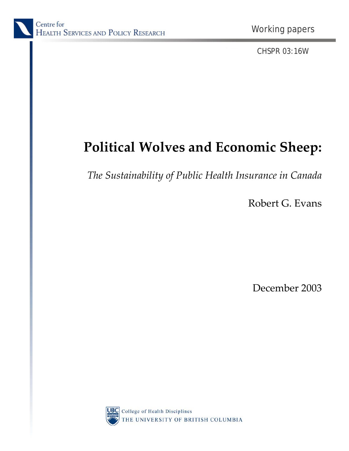

Working papers

CHSPR 03:16W

# **Political Wolves and Economic Sheep:**

*The Sustainability of Public Health Insurance in Canada* 

Robert G. Evans

December 2003

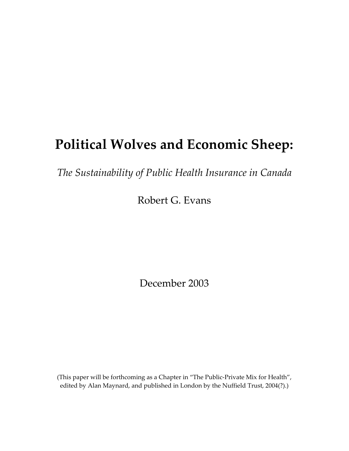## **Political Wolves and Economic Sheep:**

*The Sustainability of Public Health Insurance in Canada* 

Robert G. Evans

December 2003

(This paper will be forthcoming as a Chapter in "The Public-Private Mix for Health", edited by Alan Maynard, and published in London by the Nuffield Trust, 2004(?).)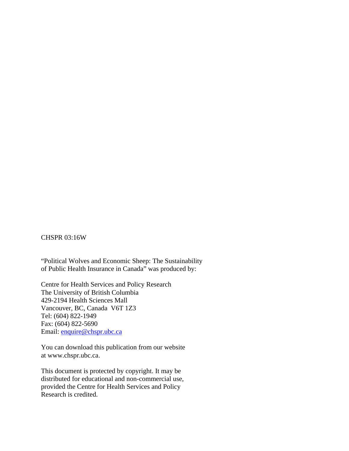CHSPR 03:16W

"Political Wolves and Economic Sheep: The Sustainability of Public Health Insurance in Canada" was produced by:

Centre for Health Services and Policy Research The University of British Columbia 429-2194 Health Sciences Mall Vancouver, BC, Canada V6T 1Z3 Tel: (604) 822-1949 Fax: (604) 822-5690 Email: enquire@chspr.ubc.ca

You can download this publication from our website at www.chspr.ubc.ca.

This document is protected by copyright. It may be distributed for educational and non-commercial use, provided the Centre for Health Services and Policy Research is credited.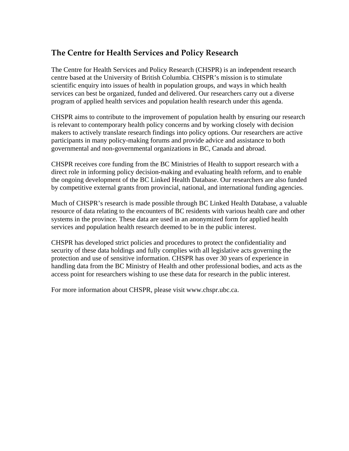#### **The Centre for Health Services and Policy Research**

The Centre for Health Services and Policy Research (CHSPR) is an independent research centre based at the University of British Columbia. CHSPR's mission is to stimulate scientific enquiry into issues of health in population groups, and ways in which health services can best be organized, funded and delivered. Our researchers carry out a diverse program of applied health services and population health research under this agenda.

CHSPR aims to contribute to the improvement of population health by ensuring our research is relevant to contemporary health policy concerns and by working closely with decision makers to actively translate research findings into policy options. Our researchers are active participants in many policy-making forums and provide advice and assistance to both governmental and non-governmental organizations in BC, Canada and abroad.

CHSPR receives core funding from the BC Ministries of Health to support research with a direct role in informing policy decision-making and evaluating health reform, and to enable the ongoing development of the BC Linked Health Database. Our researchers are also funded by competitive external grants from provincial, national, and international funding agencies.

Much of CHSPR's research is made possible through BC Linked Health Database, a valuable resource of data relating to the encounters of BC residents with various health care and other systems in the province. These data are used in an anonymized form for applied health services and population health research deemed to be in the public interest.

CHSPR has developed strict policies and procedures to protect the confidentiality and security of these data holdings and fully complies with all legislative acts governing the protection and use of sensitive information. CHSPR has over 30 years of experience in handling data from the BC Ministry of Health and other professional bodies, and acts as the access point for researchers wishing to use these data for research in the public interest.

For more information about CHSPR, please visit www.chspr.ubc.ca.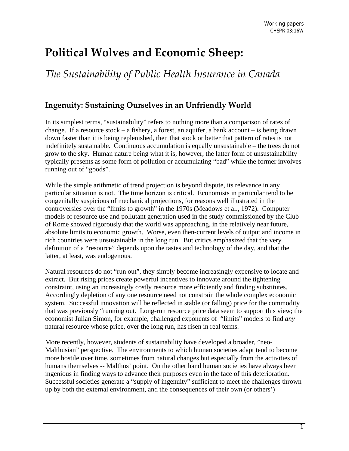### **Political Wolves and Economic Sheep:**

*The Sustainability of Public Health Insurance in Canada* 

#### **Ingenuity: Sustaining Ourselves in an Unfriendly World**

In its simplest terms, "sustainability" refers to nothing more than a comparison of rates of change. If a resource stock – a fishery, a forest, an aquifer, a bank account – is being drawn down faster than it is being replenished, then that stock or better that pattern of rates is not indefinitely sustainable. Continuous accumulation is equally unsustainable – the trees do not grow to the sky. Human nature being what it is, however, the latter form of unsustainability typically presents as some form of pollution or accumulating "bad" while the former involves running out of "goods".

While the simple arithmetic of trend projection is beyond dispute, its relevance in any particular situation is not. The time horizon is critical. Economists in particular tend to be congenitally suspicious of mechanical projections, for reasons well illustrated in the controversies over the "limits to growth" in the 1970s (Meadows et al., 1972). Computer models of resource use and pollutant generation used in the study commissioned by the Club of Rome showed rigorously that the world was approaching, in the relatively near future, absolute limits to economic growth. Worse, even then-current levels of output and income in rich countries were unsustainable in the long run. But critics emphasized that the very definition of a "resource" depends upon the tastes and technology of the day, and that the latter, at least, was endogenous.

Natural resources do not "run out", they simply become increasingly expensive to locate and extract. But rising prices create powerful incentives to innovate around the tightening constraint, using an increasingly costly resource more efficiently and finding substitutes. Accordingly depletion of any one resource need not constrain the whole complex economic system. Successful innovation will be reflected in stable (or falling) price for the commodity that was previously "running out. Long-run resource price data seem to support this view; the economist Julian Simon, for example, challenged exponents of "limits" models to find *any* natural resource whose price, over the long run, has risen in real terms.

More recently, however, students of sustainability have developed a broader, "neo-Malthusian" perspective. The environments to which human societies adapt tend to become more hostile over time, sometimes from natural changes but especially from the activities of humans themselves -- Malthus' point. On the other hand human societies have always been ingenious in finding ways to advance their purposes even in the face of this deterioration. Successful societies generate a "supply of ingenuity" sufficient to meet the challenges thrown up by both the external environment, and the consequences of their own (or others')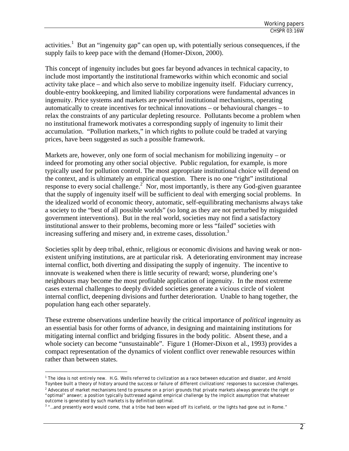activities.<sup>1</sup> But an "ingenuity gap" can open up, with potentially serious consequences, if the supply fails to keep pace with the demand (Homer-Dixon, 2000).

This concept of ingenuity includes but goes far beyond advances in technical capacity, to include most importantly the institutional frameworks within which economic and social activity take place – and which also serve to mobilize ingenuity itself. Fiduciary currency, double-entry bookkeeping, and limited liability corporations were fundamental advances in ingenuity. Price systems and markets are powerful institutional mechanisms, operating automatically to create incentives for technical innovations – or behavioural changes – to relax the constraints of any particular depleting resource. Pollutants become a problem when no institutional framework motivates a corresponding supply of ingenuity to limit their accumulation. "Pollution markets," in which rights to pollute could be traded at varying prices, have been suggested as such a possible framework.

Markets are, however, only one form of social mechanism for mobilizing ingenuity – or indeed for promoting any other social objective. Public regulation, for example, is more typically used for pollution control. The most appropriate institutional choice will depend on the context, and is ultimately an empirical question. There is no one "right" institutional response to every social challenge.<sup>2</sup> Nor, most importantly, is there any God-given guarantee that the supply of ingenuity itself will be sufficient to deal with emerging social problems. In the idealized world of economic theory, automatic, self-equilibrating mechanisms always take a society to the "best of all possible worlds" (so long as they are not perturbed by misguided government interventions). But in the real world, societies may not find a satisfactory institutional answer to their problems, becoming more or less "failed" societies with increasing suffering and misery and, in extreme cases, dissolution.<sup>3</sup>

Societies split by deep tribal, ethnic, religious or economic divisions and having weak or nonexistent unifying institutions, are at particular risk. A deteriorating environment may increase internal conflict, both diverting and dissipating the supply of ingenuity. The incentive to innovate is weakened when there is little security of reward; worse, plundering one's neighbours may become the most profitable application of ingenuity. In the most extreme cases external challenges to deeply divided societies generate a vicious circle of violent internal conflict, deepening divisions and further deterioration. Unable to hang together, the population hang each other separately.

These extreme observations underline heavily the critical importance of *political* ingenuity as an essential basis for other forms of advance, in designing and maintaining institutions for mitigating internal conflict and bridging fissures in the body politic. Absent these, and a whole society can become "unsustainable". Figure 1 (Homer-Dixon et al., 1993) provides a compact representation of the dynamics of violent conflict over renewable resources within rather than between states.

<sup>&</sup>lt;sup>1</sup> The idea is not entirely new. H.G. Wells referred to civilization as a race between education and disaster, and Arnold Toynbee built a theory of history around the success or failure of different civilizations' responses to successive challenges.

<sup>2</sup> Advocates of market mechanisms tend to presume on *a priori* grounds that private markets always generate the right or "optimal" answer; a position typically buttressed against empirical challenge by the implicit assumption that whatever outcome is generated by such markets is by definition optimal.

<sup>&</sup>lt;sup>3</sup> "...and presently word would come, that a tribe had been wiped off its icefield, or the lights had gone out in Rome."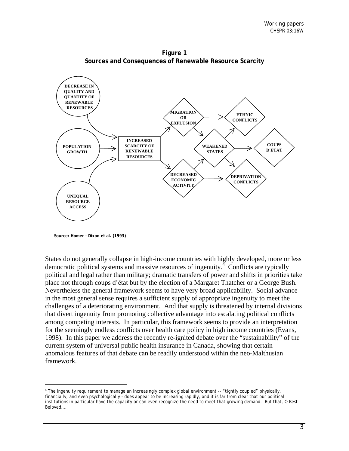

**Sources and Consequences of Renewable Resource Scarcity Figure 1**

 $\overline{a}$ 

States do not generally collapse in high-income countries with highly developed, more or less democratic political systems and massive resources of ingenuity.<sup>4</sup> Conflicts are typically political and legal rather than military; dramatic transfers of power and shifts in priorities take place not through coups d'état but by the election of a Margaret Thatcher or a George Bush. Nevertheless the general framework seems to have very broad applicability. Social advance in the most general sense requires a sufficient supply of appropriate ingenuity to meet the challenges of a deteriorating environment. And that supply is threatened by internal divisions that divert ingenuity from promoting collective advantage into escalating political conflicts among competing interests. In particular, this framework seems to provide an interpretation for the seemingly endless conflicts over health care policy in high income countries (Evans, 1998). In this paper we address the recently re-ignited debate over the "sustainability" of the current system of universal public health insurance in Canada, showing that certain anomalous features of that debate can be readily understood within the neo-Malthusian framework.

**Source: Homer - Dixon et al. (1993)**

<sup>4</sup> The ingenuity requirement to manage an increasingly complex global environment -- "tightly coupled" physically, financially, and even psychologically – does appear to be increasing rapidly, and it is far from clear that our political institutions in particular have the capacity or can even recognize the need to meet that growing demand. But that, O Best Beloved….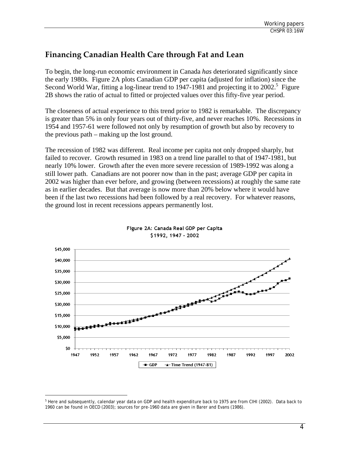#### **Financing Canadian Health Care through Fat and Lean**

To begin, the long-run economic environment in Canada *has* deteriorated significantly since the early 1980s. Figure 2A plots Canadian GDP per capita (adjusted for inflation) since the Second World War, fitting a log-linear trend to  $1947-1981$  and projecting it to  $2002$ <sup>5</sup>. Figure 2B shows the ratio of actual to fitted or projected values over this fifty-five year period.

The closeness of actual experience to this trend prior to 1982 is remarkable. The discrepancy is greater than 5% in only four years out of thirty-five, and never reaches 10%. Recessions in 1954 and 1957-61 were followed not only by resumption of growth but also by recovery to the previous path – making up the lost ground.

The recession of 1982 was different. Real income per capita not only dropped sharply, but failed to recover. Growth resumed in 1983 on a trend line parallel to that of 1947-1981, but nearly 10% lower. Growth after the even more severe recession of 1989-1992 was along a still lower path. Canadians are not poorer now than in the past; average GDP per capita in 2002 was higher than ever before, and growing (between recessions) at roughly the same rate as in earlier decades. But that average is now more than 20% below where it would have been if the last two recessions had been followed by a real recovery. For whatever reasons, the ground lost in recent recessions appears permanently lost.





<sup>&</sup>lt;sup>5</sup> Here and subsequently, calendar year data on GDP and health expenditure back to 1975 are from CIHI (2002). Data back to 1960 can be found in OECD (2003); sources for pre-1960 data are given in Barer and Evans (1986).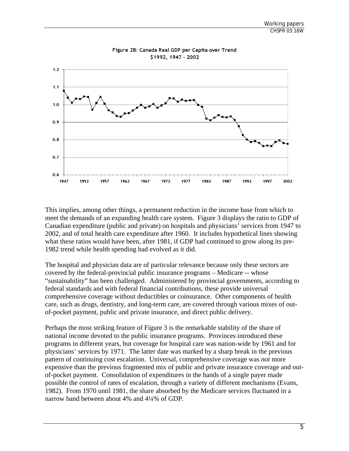

Figure 2B: Canada Real GDP per Capita over Trend \$1992, 1947 - 2002

This implies, among other things, a permanent reduction in the income base from which to meet the demands of an expanding health care system. Figure 3 displays the ratio to GDP of Canadian expenditure (public and private) on hospitals and physicians' services from 1947 to 2002, and of total health care expenditure after 1960. It includes hypothetical lines showing what these ratios would have been, after 1981, if GDP had continued to grow along its pre-1982 trend while health spending had evolved as it did.

The hospital and physician data are of particular relevance because only these sectors are covered by the federal-provincial public insurance programs – Medicare -- whose "sustainability" has been challenged. Administered by provincial governments, according to federal standards and with federal financial contributions, these provide universal comprehensive coverage without deductibles or coinsurance. Other components of health care, such as drugs, dentistry, and long-term care, are covered through various mixes of outof-pocket payment, public and private insurance, and direct public delivery.

Perhaps the most striking feature of Figure 3 is the remarkable stability of the share of national income devoted to the public insurance programs. Provinces introduced these programs in different years, but coverage for hospital care was nation-wide by 1961 and for physicians' services by 1971. The latter date was marked by a sharp break in the previous pattern of continuing cost escalation. Universal, comprehensive coverage was *not* more expensive than the previous fragmented mix of public and private insurance coverage and outof-pocket payment. Consolidation of expenditures in the hands of a single payer made possible the control of rates of escalation, through a variety of different mechanisms (Evans, 1982). From 1970 until 1981, the share absorbed by the Medicare services fluctuated in a narrow band between about 4% and 4¼% of GDP.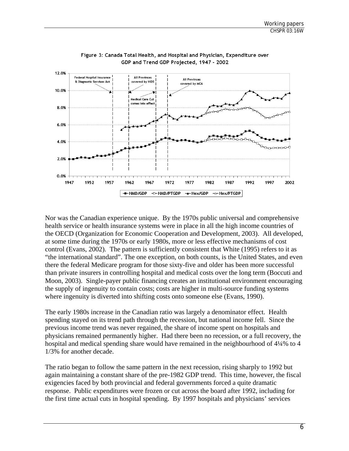

Figure 3: Canada Total Health, and Hospital and Physician, Expenditure over GDP and Trend GDP Projected, 1947 - 2002

Nor was the Canadian experience unique. By the 1970s public universal and comprehensive health service or health insurance systems were in place in all the high income countries of the OECD (Organization for Economic Cooperation and Development, 2003). All developed, at some time during the 1970s or early 1980s, more or less effective mechanisms of cost control (Evans, 2002). The pattern is sufficiently consistent that White (1995) refers to it as "the international standard". The one exception, on both counts, is the United States, and even there the federal Medicare program for those sixty-five and older has been more successful than private insurers in controlling hospital and medical costs over the long term (Boccuti and Moon, 2003). Single-payer public financing creates an institutional environment encouraging the supply of ingenuity to contain costs; costs are higher in multi-source funding systems where ingenuity is diverted into shifting costs onto someone else (Evans, 1990).

The early 1980s increase in the Canadian ratio was largely a denominator effect. Health spending stayed on its trend path through the recession, but national income fell. Since the previous income trend was never regained, the share of income spent on hospitals and physicians remained permanently higher. Had there been no recession, or a full recovery, the hospital and medical spending share would have remained in the neighbourhood of 4¼% to 4 1/3% for another decade.

The ratio began to follow the same pattern in the next recession, rising sharply to 1992 but again maintaining a constant share of the pre-1982 GDP trend. This time, however, the fiscal exigencies faced by both provincial and federal governments forced a quite dramatic response. Public expenditures were frozen or cut across the board after 1992, including for the first time actual cuts in hospital spending. By 1997 hospitals and physicians' services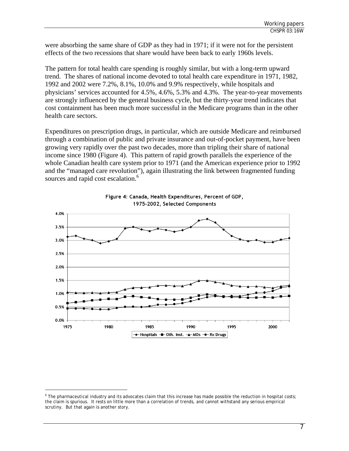were absorbing the same share of GDP as they had in 1971; if it were not for the persistent effects of the two recessions that share would have been back to early 1960s levels.

The pattern for total health care spending is roughly similar, but with a long-term upward trend. The shares of national income devoted to total health care expenditure in 1971, 1982, 1992 and 2002 were 7.2%, 8.1%, 10.0% and 9.9% respectively, while hospitals and physicians' services accounted for 4.5%, 4.6%, 5.3% and 4.3%. The year-to-year movements are strongly influenced by the general business cycle, but the thirty-year trend indicates that cost containment has been much more successful in the Medicare programs than in the other health care sectors.

Expenditures on prescription drugs, in particular, which are outside Medicare and reimbursed through a combination of public and private insurance and out-of-pocket payment, have been growing very rapidly over the past two decades, more than tripling their share of national income since 1980 (Figure 4). This pattern of rapid growth parallels the experience of the whole Canadian health care system prior to 1971 (and the American experience prior to 1992 and the "managed care revolution"), again illustrating the link between fragmented funding sources and rapid cost escalation.<sup>6</sup>





<sup>&</sup>lt;sup>6</sup> The pharmaceutical industry and its advocates claim that this increase has made possible the reduction in hospital costs; the claim is spurious. It rests on little more than a correlation of trends, and cannot withstand any serious empirical scrutiny. But that again is another story.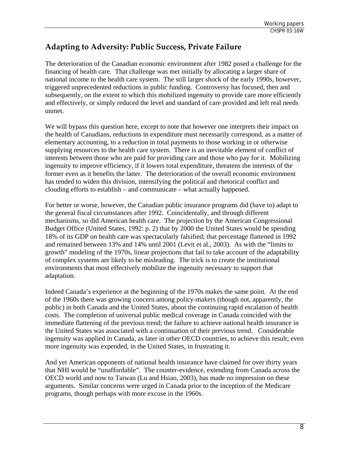#### **Adapting to Adversity: Public Success, Private Failure**

The deterioration of the Canadian economic environment after 1982 posed a challenge for the financing of health care. That challenge was met initially by allocating a larger share of national income to the health care system. The still larger shock of the early 1990s, however, triggered unprecedented reductions in public funding. Controversy has focused, then and subsequently, on the extent to which this mobilized ingenuity to provide care more efficiently and effectively, or simply reduced the level and standard of care provided and left real needs unmet.

We will bypass this question here, except to note that however one interprets their impact on the health of Canadians, reductions in expenditure must necessarily correspond, as a matter of elementary accounting, to a reduction in total payments to those working in or otherwise supplying resources to the health care system. There is an inevitable element of conflict of interests between those who are paid for providing care and those who pay for it. Mobilizing ingenuity to improve efficiency, if it lowers total expenditure, threatens the interests of the former even as it benefits the latter. The deterioration of the overall economic environment has tended to widen this division, intensifying the political and rhetorical conflict and clouding efforts to establish – and communicate – what actually happened.

For better or worse, however, the Canadian public insurance programs did (have to) adapt to the general fiscal circumstances after 1992. Coincidentally, and through different mechanisms, so did American health care. The projection by the American Congressional Budget Office (United States, 1992: p. 2) that by 2000 the United States would be spending 18% of its GDP on health care was spectacularly falsified; that percentage flattened in 1992 and remained between 13% and 14% until 2001 (Levit et al., 2003). As with the "limits to growth" modeling of the 1970s, linear projections that fail to take account of the adaptability of complex systems are likely to be misleading. The trick is to create the institutional environments that most effectively mobilize the ingenuity necessary to support that adaptation.

Indeed Canada's experience at the beginning of the 1970s makes the same point. At the end of the 1960s there was growing concern among policy-makers (though not, apparently, the public) in both Canada and the United States, about the continuing rapid escalation of health costs. The completion of universal public medical coverage in Canada coincided with the immediate flattening of the previous trend; the failure to achieve national health insurance in the United States was associated with a continuation of their previous trend. Considerable ingenuity was applied in Canada, as later in other OECD countries, to achieve this result; even more ingenuity was expended, in the United States, in frustrating it.

And yet American opponents of national health insurance have claimed for over thirty years that NHI would be "unaffordable". The counter-evidence, extending from Canada across the OECD world and now to Taiwan (Lu and Hsiao, 2003), has made no impression on these arguments. Similar concerns were urged in Canada prior to the inception of the Medicare programs, though perhaps with more excuse in the 1960s.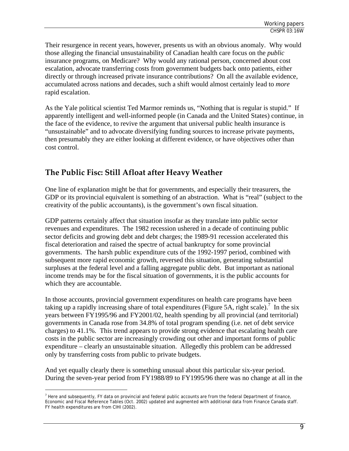Their resurgence in recent years, however, presents us with an obvious anomaly. Why would those alleging the financial unsustainability of Canadian health care focus on the *public* insurance programs, on Medicare? Why would any rational person, concerned about cost escalation, advocate transferring costs from government budgets back onto patients, either directly or through increased private insurance contributions? On all the available evidence, accumulated across nations and decades, such a shift would almost certainly lead to *more* rapid escalation.

As the Yale political scientist Ted Marmor reminds us, "Nothing that is regular is stupid." If apparently intelligent and well-informed people (in Canada and the United States) continue, in the face of the evidence, to revive the argument that universal public health insurance is "unsustainable" and to advocate diversifying funding sources to increase private payments, then presumably they are either looking at different evidence, or have objectives other than cost control.

#### **The Public Fisc: Still Afloat after Heavy Weather**

One line of explanation might be that for governments, and especially their treasurers, the GDP or its provincial equivalent is something of an abstraction. What is "real" (subject to the creativity of the public accountants), is the government's own fiscal situation.

GDP patterns certainly affect that situation insofar as they translate into public sector revenues and expenditures. The 1982 recession ushered in a decade of continuing public sector deficits and growing debt and debt charges; the 1989-91 recession accelerated this fiscal deterioration and raised the spectre of actual bankruptcy for some provincial governments. The harsh public expenditure cuts of the 1992-1997 period, combined with subsequent more rapid economic growth, reversed this situation, generating substantial surpluses at the federal level and a falling aggregate public debt. But important as national income trends may be for the fiscal situation of governments, it is the public accounts for which they are accountable.

In those accounts, provincial government expenditures on health care programs have been taking up a rapidly increasing share of total expenditures (Figure 5A, right scale).<sup>7</sup> In the six years between FY1995/96 and FY2001/02, health spending by all provincial (and territorial) governments in Canada rose from 34.8% of total program spending (i.e. net of debt service charges) to 41.1%. This trend appears to provide strong evidence that escalating health care costs in the public sector are increasingly crowding out other and important forms of public expenditure – clearly an unsustainable situation. Allegedly this problem can be addressed only by transferring costs from public to private budgets.

And yet equally clearly there is something unusual about this particular six-year period. During the seven-year period from FY1988/89 to FY1995/96 there was no change at all in the

<sup>&</sup>lt;sup>7</sup> Here and subsequently, FY data on provincial and federal public accounts are from the federal Department of finance, Economic and Fiscal Reference Tables (Oct. 2002) updated and augmented with additional data from Finance Canada staff. FY health expenditures are from CIHI (2002).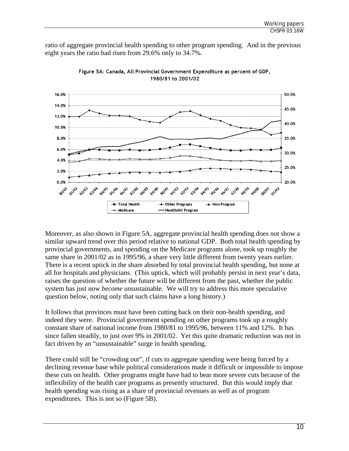ratio of aggregate provincial health spending to other program spending. And in the previous eight years the ratio had risen from 29.6% only to 34.7%.



Figure 5A: Canada, All Provincial Government Expenditure as percent of GDP, 1980/81 to 2001/02

Moreover, as also shown in Figure 5A, aggregate provincial health spending does *not* show a similar upward trend over this period relative to national GDP. Both total health spending by provincial governments, and spending on the Medicare programs alone, took up roughly the same share in 2001/02 as in 1995/96, a share very little different from twenty years earlier. There is a recent uptick in the share absorbed by total provincial health spending, but none at all for hospitals and physicians. (This uptick, which will probably persist in next year's data, raises the question of whether the future will be different from the past, whether the public system has just now *become* unsustainable. We will try to address this more speculative question below, noting only that such claims have a long history.)

It follows that provinces must have been cutting back on their non-health spending, and indeed they were. Provincial government spending on other programs took up a roughly constant share of national income from 1980/81 to 1995/96, between 11% and 12%. It has since fallen steadily, to just over 9% in 2001/02. Yet this quite dramatic reduction was not in fact driven by an "unsustainable" surge in health spending.

There could still be "crowding out", if cuts to aggregate spending were being forced by a declining revenue base while political considerations made it difficult or impossible to impose these cuts on health. Other programs might have had to bear more severe cuts because of the inflexibility of the health care programs as presently structured. But this would imply that health spending was rising as a share of provincial revenues as well as of program expenditures. This is not so (Figure 5B).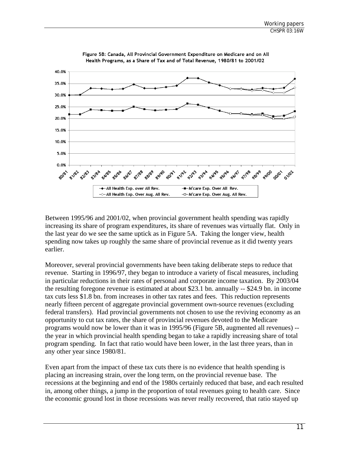

Figure 5B: Canada, All Provincial Government Expenditure on Medicare and on All Health Programs, as a Share of Tax and of Total Revenue, 1980/81 to 2001/02

Between 1995/96 and 2001/02, when provincial government health spending was rapidly increasing its share of program expenditures, its share of revenues was virtually flat. Only in the last year do we see the same uptick as in Figure 5A. Taking the longer view, health spending now takes up roughly the same share of provincial revenue as it did twenty years earlier.

Moreover, several provincial governments have been taking deliberate steps to reduce that revenue. Starting in 1996/97, they began to introduce a variety of fiscal measures, including in particular reductions in their rates of personal and corporate income taxation. By 2003/04 the resulting foregone revenue is estimated at about \$23.1 bn. annually -- \$24.9 bn. in income tax cuts less \$1.8 bn. from increases in other tax rates and fees. This reduction represents nearly fifteen percent of aggregate provincial government own-source revenues (excluding federal transfers). Had provincial governments not chosen to use the reviving economy as an opportunity to cut tax rates, the share of provincial revenues devoted to the Medicare programs would now be lower than it was in 1995/96 (Figure 5B, augmented all revenues) - the year in which provincial health spending began to take a rapidly increasing share of total program spending. In fact that ratio would have been lower, in the last three years, than in any other year since 1980/81.

Even apart from the impact of these tax cuts there is no evidence that health spending is placing an increasing strain, over the long term, on the provincial revenue base. The recessions at the beginning and end of the 1980s certainly reduced that base, and each resulted in, among other things, a jump in the proportion of total revenues going to health care. Since the economic ground lost in those recessions was never really recovered, that ratio stayed up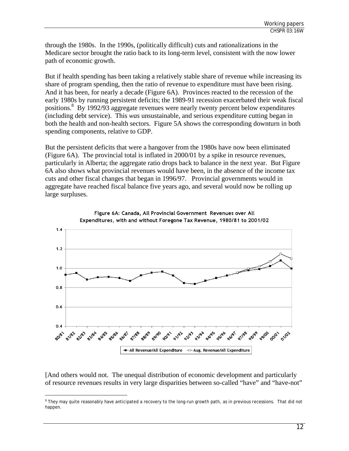through the 1980s. In the 1990s, (politically difficult) cuts and rationalizations in the Medicare sector brought the ratio back to its long-term level, consistent with the now lower path of economic growth.

But if health spending has been taking a relatively stable share of revenue while increasing its share of program spending, then the ratio of revenue to expenditure must have been rising. And it has been, for nearly a decade (Figure 6A). Provinces reacted to the recession of the early 1980s by running persistent deficits; the 1989-91 recession exacerbated their weak fiscal positions.8 By 1992/93 aggregate revenues were nearly twenty percent below expenditures (including debt service). This *was* unsustainable, and serious expenditure cutting began in both the health and non-health sectors. Figure 5A shows the corresponding downturn in both spending components, relative to GDP.

But the persistent deficits that were a hangover from the 1980s have now been eliminated (Figure 6A). The provincial total is inflated in 2000/01 by a spike in resource revenues, particularly in Alberta; the aggregate ratio drops back to balance in the next year. But Figure 6A also shows what provincial revenues would have been, in the absence of the income tax cuts and other fiscal changes that began in 1996/97. Provincial governments would in aggregate have reached fiscal balance five years ago, and several would now be rolling up large surpluses.





[And others would not. The unequal distribution of economic development and particularly of resource revenues results in very large disparities between so-called "have" and "have-not"

<sup>&</sup>lt;sup>8</sup> They may quite reasonably have anticipated a recovery to the long-run growth path, as in previous recessions. That did not happen.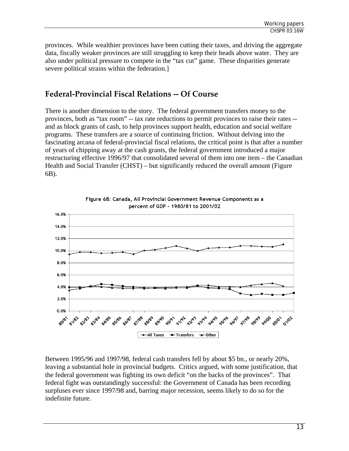provinces. While wealthier provinces have been cutting their taxes, and driving the aggregate data, fiscally weaker provinces are still struggling to keep their heads above water. They are also under political pressure to compete in the "tax cut" game. These disparities generate severe political strains within the federation.]

#### **Federal-Provincial Fiscal Relations -- Of Course**

There is another dimension to the story. The federal government transfers money to the provinces, both as "tax room" -- tax rate reductions to permit provinces to raise their rates - and as block grants of cash, to help provinces support health, education and social welfare programs. These transfers are a source of continuing friction. Without delving into the fascinating arcana of federal-provincial fiscal relations, the critical point is that after a number of years of chipping away at the cash grants, the federal government introduced a major restructuring effective 1996/97 that consolidated several of them into one item – the Canadian Health and Social Transfer (CHST) – but significantly reduced the overall amount (Figure 6B).



Between 1995/96 and 1997/98, federal cash transfers fell by about \$5 bn., or nearly 20%, leaving a substantial hole in provincial budgets. Critics argued, with some justification, that the federal government was fighting its own deficit "on the backs of the provinces". That federal fight was outstandingly successful: the Government of Canada has been recording surpluses ever since 1997/98 and, barring major recession, seems likely to do so for the indefinite future.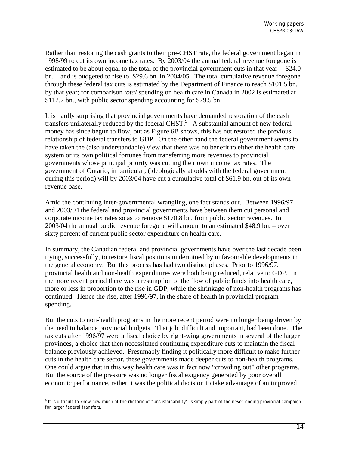Rather than restoring the cash grants to their pre-CHST rate, the federal government began in 1998/99 to cut its own income tax rates. By 2003/04 the annual federal revenue foregone is estimated to be about equal to the total of the provincial government cuts in that year -- \$24.0 bn. – and is budgeted to rise to \$29.6 bn. in 2004/05. The total cumulative revenue foregone through these federal tax cuts is estimated by the Department of Finance to reach \$101.5 bn. by that year; for comparison *total* spending on health care in Canada in 2002 is estimated at \$112.2 bn., with public sector spending accounting for \$79.5 bn.

It is hardly surprising that provincial governments have demanded restoration of the cash transfers unilaterally reduced by the federal CHST.<sup>9</sup> A substantial amount of new federal money has since begun to flow, but as Figure 6B shows, this has not restored the previous relationship of federal transfers to GDP. On the other hand the federal government seems to have taken the (also understandable) view that there was no benefit to either the health care system or its own political fortunes from transferring more revenues to provincial governments whose principal priority was cutting their own income tax rates. The government of Ontario, in particular, (ideologically at odds with the federal government during this period) will by 2003/04 have cut a cumulative total of \$61.9 bn. out of its own revenue base.

Amid the continuing inter-governmental wrangling, one fact stands out. Between 1996/97 and 2003/04 the federal and provincial governments have between them cut personal and corporate income tax rates so as to remove \$170.8 bn. from public sector revenues. In 2003/04 the annual public revenue foregone will amount to an estimated \$48.9 bn. – over sixty percent of current public sector expenditure on health care.

In summary, the Canadian federal and provincial governments have over the last decade been trying, successfully, to restore fiscal positions undermined by unfavourable developments in the general economy. But this process has had two distinct phases. Prior to 1996/97, provincial health and non-health expenditures were both being reduced, relative to GDP. In the more recent period there was a resumption of the flow of public funds into health care, more or less in proportion to the rise in GDP, while the shrinkage of non-health programs has continued. Hence the rise, after 1996/97, in the share of health in provincial program spending.

But the cuts to non-health programs in the more recent period were no longer being driven by the need to balance provincial budgets. That job, difficult and important, had been done. The tax cuts after 1996/97 were a fiscal choice by right-wing governments in several of the larger provinces, a choice that then necessitated continuing expenditure cuts to maintain the fiscal balance previously achieved. Presumably finding it politically more difficult to make further cuts in the health care sector, these governments made deeper cuts to non-health programs. One could argue that in this way health care was in fact now "crowding out" other programs. But the source of the pressure was no longer fiscal exigency generated by poor overall economic performance, rather it was the political decision to take advantage of an improved

<sup>&</sup>lt;sup>9</sup> It is difficult to know how much of the rhetoric of "unsustainability" is simply part of the never-ending provincial campaign for larger federal transfers.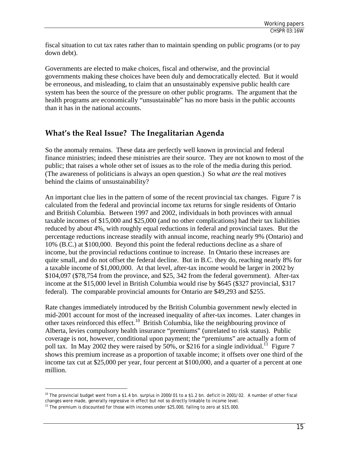fiscal situation to cut tax rates rather than to maintain spending on public programs (or to pay down debt).

Governments are elected to make choices, fiscal and otherwise, and the provincial governments making these choices have been duly and democratically elected. But it would be erroneous, and misleading, to claim that an unsustainably expensive public health care system has been the source of the pressure on other public programs. The argument that the health programs are economically "unsustainable" has no more basis in the public accounts than it has in the national accounts.

#### **What's the Real Issue? The Inegalitarian Agenda**

So the anomaly remains. These data are perfectly well known in provincial and federal finance ministries; indeed these ministries are their source. They are not known to most of the public; that raises a whole other set of issues as to the role of the media during this period. (The awareness of politicians is always an open question.) So what *are* the real motives behind the claims of unsustainability?

An important clue lies in the pattern of some of the recent provincial tax changes. Figure 7 is calculated from the federal and provincial income tax returns for single residents of Ontario and British Columbia. Between 1997 and 2002, individuals in both provinces with annual taxable incomes of \$15,000 and \$25,000 (and no other complications) had their tax liabilities reduced by about 4%, with roughly equal reductions in federal and provincial taxes. But the percentage reductions increase steadily with annual income, reaching nearly 9% (Ontario) and 10% (B.C.) at \$100,000. Beyond this point the federal reductions decline as a share of income, but the provincial reductions continue to increase. In Ontario these increases are quite small, and do not offset the federal decline. But in B.C. they do, reaching nearly 8% for a taxable income of \$1,000,000. At that level, after-tax income would be larger in 2002 by \$104,097 (\$78,754 from the province, and \$25, 342 from the federal government). After-tax income at the \$15,000 level in British Columbia would rise by \$645 (\$327 provincial, \$317 federal). The comparable provincial amounts for Ontario are \$49,293 and \$255.

Rate changes immediately introduced by the British Columbia government newly elected in mid-2001 account for most of the increased inequality of after-tax incomes. Later changes in other taxes reinforced this effect.<sup>10</sup> British Columbia, like the neighbouring province of Alberta, levies compulsory health insurance "premiums" (unrelated to risk status). Public coverage is not, however, conditional upon payment; the "premiums" are actually a form of poll tax. In May 2002 they were raised by 50%, or \$216 for a single individual.<sup>11</sup> Figure 7 shows this premium increase as a proportion of taxable income; it offsets over one third of the income tax cut at \$25,000 per year, four percent at \$100,000, and a quarter of a percent at one million.

 $10$  The provincial budget went from a \$1.4 bn. surplus in 2000/01 to a \$1.2 bn. deficit in 2001/02. A number of other fiscal changes were made, generally regressive in effect but not so directly linkable to income level.

<sup>&</sup>lt;sup>11</sup> The premium is discounted for those with incomes under \$25,000, falling to zero at \$15,000.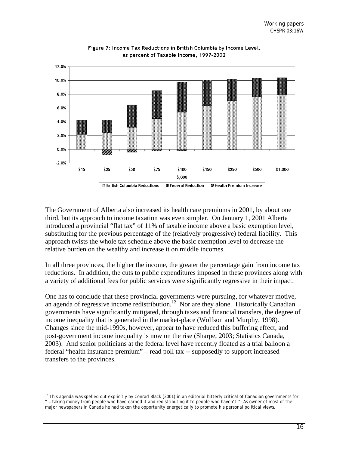

Figure 7: Income Tax Reductions in British Columbia by Income Level, as percent of Taxable Income, 1997-2002

The Government of Alberta also increased its health care premiums in 2001, by about one third, but its approach to income taxation was even simpler. On January 1, 2001 Alberta introduced a provincial "flat tax" of 11% of taxable income above a basic exemption level, substituting for the previous percentage of the (relatively progressive) federal liability. This approach twists the whole tax schedule above the basic exemption level to decrease the relative burden on the wealthy and increase it on middle incomes.

In all three provinces, the higher the income, the greater the percentage gain from income tax reductions. In addition, the cuts to public expenditures imposed in these provinces along with a variety of additional fees for public services were significantly regressive in their impact.

One has to conclude that these provincial governments were pursuing, for whatever motive, an agenda of regressive income redistribution.<sup>12</sup> Nor are they alone. Historically Canadian governments have significantly mitigated, through taxes and financial transfers, the degree of income inequality that is generated in the market-place (Wolfson and Murphy, 1998). Changes since the mid-1990s, however, appear to have reduced this buffering effect, and post-government income inequality is now on the rise (Sharpe, 2003; Statistics Canada, 2003). And senior politicians at the federal level have recently floated as a trial balloon a federal "health insurance premium" – read poll tax -- supposedly to support increased transfers to the provinces.

 $12$  This agenda was spelled out explicitly by Conrad Black (2001) in an editorial bitterly critical of Canadian governments for "… taking money from people who have earned it and redistributing it to people who haven't." As owner of most of the major newspapers in Canada he had taken the opportunity energetically to promote his personal political views.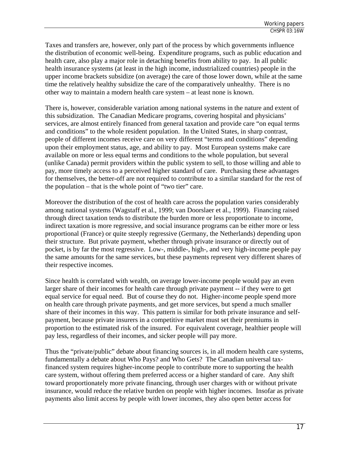Taxes and transfers are, however, only part of the process by which governments influence the distribution of economic well-being. Expenditure programs, such as public education and health care, also play a major role in detaching benefits from ability to pay. In all public health insurance systems (at least in the high income, industrialized countries) people in the upper income brackets subsidize (on average) the care of those lower down, while at the same time the relatively healthy subsidize the care of the comparatively unhealthy. There is no other way to maintain a modern health care system – at least none is known.

There is, however, considerable variation among national systems in the nature and extent of this subsidization. The Canadian Medicare programs, covering hospital and physicians' services, are almost entirely financed from general taxation and provide care "on equal terms and conditions" to the whole resident population. In the United States, in sharp contrast, people of different incomes receive care on very different "terms and conditions" depending upon their employment status, age, and ability to pay. Most European systems make care available on more or less equal terms and conditions to the whole population, but several (unlike Canada) permit providers within the public system to sell, to those willing and able to pay, more timely access to a perceived higher standard of care. Purchasing these advantages for themselves, the better-off are not required to contribute to a similar standard for the rest of the population – that is the whole point of "two tier" care.

Moreover the distribution of the cost of health care across the population varies considerably among national systems (Wagstaff et al., 1999; van Doorslaer et al., 1999). Financing raised through direct taxation tends to distribute the burden more or less proportionate to income, indirect taxation is more regressive, and social insurance programs can be either more or less proportional (France) or quite steeply regressive (Germany, the Netherlands) depending upon their structure. But private payment, whether through private insurance or directly out of pocket, is by far the most regressive. Low-, middle-, high-, and very high-income people pay the same amounts for the same services, but these payments represent very different shares of their respective incomes.

Since health is correlated with wealth, on average lower-income people would pay an even larger share of their incomes for health care through private payment -- if they were to get equal service for equal need. But of course they do not. Higher-income people spend more on health care through private payments, and get more services, but spend a much smaller share of their incomes in this way. This pattern is similar for both private insurance and selfpayment, because private insurers in a competitive market must set their premiums in proportion to the estimated risk of the insured. For equivalent coverage, healthier people will pay less, regardless of their incomes, and sicker people will pay more.

Thus the "private/public" debate about financing sources is, in all modern health care systems, fundamentally a debate about Who Pays? and Who Gets? The Canadian universal taxfinanced system requires higher-income people to contribute more to supporting the health care system, without offering them preferred access or a higher standard of care. Any shift toward proportionately more private financing, through user charges with or without private insurance, would reduce the relative burden on people with higher incomes. Insofar as private payments also limit access by people with lower incomes, they also open better access for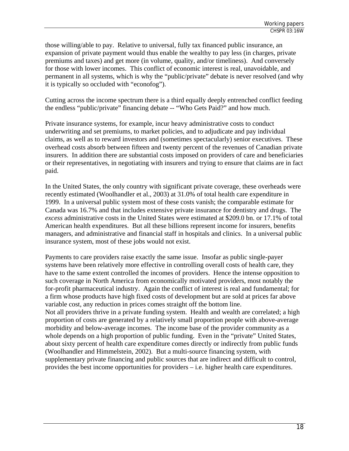those willing/able to pay. Relative to universal, fully tax financed public insurance, an expansion of private payment would thus enable the wealthy to pay less (in charges, private premiums and taxes) and get more (in volume, quality, and/or timeliness). And conversely for those with lower incomes. This conflict of economic interest is real, unavoidable, and permanent in all systems, which is why the "public/private" debate is never resolved (and why it is typically so occluded with "econofog").

Cutting across the income spectrum there is a third equally deeply entrenched conflict feeding the endless "public/private" financing debate -- "Who Gets Paid?" and how much.

Private insurance systems, for example, incur heavy administrative costs to conduct underwriting and set premiums, to market policies, and to adjudicate and pay individual claims, as well as to reward investors and (sometimes spectacularly) senior executives. These overhead costs absorb between fifteen and twenty percent of the revenues of Canadian private insurers. In addition there are substantial costs imposed on providers of care and beneficiaries or their representatives, in negotiating with insurers and trying to ensure that claims are in fact paid.

In the United States, the only country with significant private coverage, these overheads were recently estimated (Woolhandler et al., 2003) at 31.0% of total health care expenditure in 1999. In a universal public system most of these costs vanish; the comparable estimate for Canada was 16.7% and that includes extensive private insurance for dentistry and drugs. The *excess* administrative costs in the United States were estimated at \$209.0 bn. or 17.1% of total American health expenditures. But all these billions represent income for insurers, benefits managers, and administrative and financial staff in hospitals and clinics. In a universal public insurance system, most of these jobs would not exist.

Payments to care providers raise exactly the same issue. Insofar as public single-payer systems have been relatively more effective in controlling overall costs of health care, they have to the same extent controlled the incomes of providers. Hence the intense opposition to such coverage in North America from economically motivated providers, most notably the for-profit pharmaceutical industry. Again the conflict of interest is real and fundamental; for a firm whose products have high fixed costs of development but are sold at prices far above variable cost, any reduction in prices comes straight off the bottom line. Not all providers thrive in a private funding system. Health and wealth are correlated; a high proportion of costs are generated by a relatively small proportion people with above-average morbidity and below-average incomes. The income base of the provider community as a whole depends on a high proportion of public funding. Even in the "private" United States, about sixty percent of health care expenditure comes directly or indirectly from public funds (Woolhandler and Himmelstein, 2002). But a multi-source financing system, with supplementary private financing and public sources that are indirect and difficult to control, provides the best income opportunities for providers – i.e. higher health care expenditures.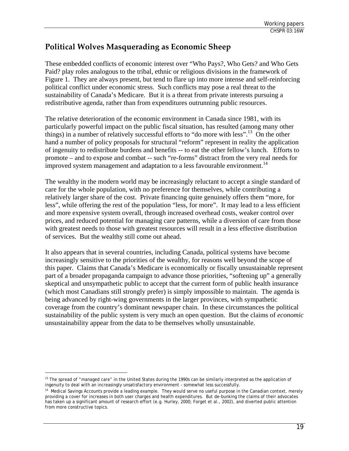#### **Political Wolves Masquerading as Economic Sheep**

These embedded conflicts of economic interest over "Who Pays?, Who Gets? and Who Gets Paid? play roles analogous to the tribal, ethnic or religious divisions in the framework of Figure 1. They are always present, but tend to flare up into more intense and self-reinforcing political conflict under economic stress. Such conflicts may pose a real threat to the sustainability of Canada's Medicare. But it is a threat from private interests pursuing a redistributive agenda, rather than from expenditures outrunning public resources.

The relative deterioration of the economic environment in Canada since 1981, with its particularly powerful impact on the public fiscal situation, has resulted (among many other things) in a number of relatively successful efforts to "do more with less".<sup>13</sup> On the other hand a number of policy proposals for structural "reform" represent in reality the application of ingenuity to redistribute burdens and benefits -- to eat the other fellow's lunch. Efforts to promote – and to expose and combat -- such "re-forms" distract from the very real needs for improved system management and adaptation to a less favourable environment.<sup>14</sup>

The wealthy in the modern world may be increasingly reluctant to accept a single standard of care for the whole population, with no preference for themselves, while contributing a relatively larger share of the cost. Private financing quite genuinely offers them "more, for less", while offering the rest of the population "less, for more". It may lead to a less efficient and more expensive system overall, through increased overhead costs, weaker control over prices, and reduced potential for managing care patterns, while a diversion of care from those with greatest needs to those with greatest resources will result in a less effective distribution of services. But the wealthy still come out ahead.

It also appears that in several countries, including Canada, political systems have become increasingly sensitive to the priorities of the wealthy, for reasons well beyond the scope of this paper. Claims that Canada's Medicare is economically or fiscally unsustainable represent part of a broader propaganda campaign to advance those priorities, "softening up" a generally skeptical and unsympathetic public to accept that the current form of public health insurance (which most Canadians still strongly prefer) is simply impossible to maintain. The agenda is being advanced by right-wing governments in the larger provinces, with sympathetic coverage from the country's dominant newspaper chain. In these circumstances the political sustainability of the public system is very much an open question. But the claims of *economic* unsustainability appear from the data to be themselves wholly unsustainable.

<sup>&</sup>lt;sup>13</sup> The spread of "managed care" in the United States during the 1990s can be similarly interpreted as the application of ingenuity to deal with an increasingly unsatisfactory environment - somewhat less successfully.

 $14$  Medical Savings Accounts provide a leading example. They would serve no useful purpose in the Canadian context, merely providing a cover for increases in both user charges and health expenditures. But de-bunking the claims of their advocates has taken up a significant amount of research effort (e.g. Hurley, 2000; Forget et al., 2002), and diverted public attention from more constructive topics.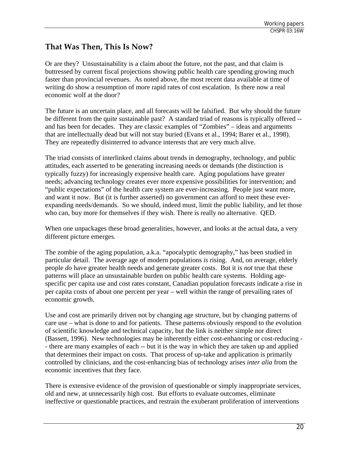#### **That Was Then, This Is Now?**

Or are they? Unsustainability is a claim about the future, not the past, and that claim is buttressed by current fiscal projections showing public health care spending growing much faster than provincial revenues. As noted above, the most recent data available at time of writing do show a resumption of more rapid rates of cost escalation. Is there now a real economic wolf at the door?

The future is an uncertain place, and all forecasts will be falsified. But why should the future be different from the quite sustainable past? A standard triad of reasons is typically offered - and has been for decades. They are classic examples of "Zombies" – ideas and arguments that are intellectually dead but will not stay buried (Evans et al., 1994; Barer et al., 1998). They are repeatedly disinterred to advance interests that are very much alive.

The triad consists of interlinked claims about trends in demography, technology, and public attitudes, each asserted to be generating increasing needs or demands (the distinction is typically fuzzy) for increasingly expensive health care. Aging populations have greater needs; advancing technology creates ever more expensive possibilities for intervention; and "public expectations" of the health care system are ever-increasing. People just want more, and want it now. But (it is further asserted) no government can afford to meet these everexpanding needs/demands. So we should, indeed must, limit the public liability, and let those who can, buy more for themselves if they wish. There is really no alternative. QED.

When one unpackages these broad generalities, however, and looks at the actual data, a very different picture emerges.

The zombie of the aging population, a.k.a. "apocalyptic demography," has been studied in particular detail. The average age of modern populations *is* rising. And, on average, elderly people *do* have greater health needs and generate greater costs. But it is *not* true that these patterns will place an unsustainable burden on public health care systems. Holding agespecific per capita use and cost rates constant, Canadian population forecasts indicate a rise in per capita costs of about one percent per year – well within the range of prevailing rates of economic growth.

Use and cost are primarily driven not by changing age structure, but by changing patterns of care use – what is done to and for patients. These patterns obviously respond to the evolution of scientific knowledge and technical capacity, but the link is neither simple nor direct (Bassett, 1996). New technologies may be inherently either cost-enhancing or cost-reducing - - there are many examples of each -- but it is the way in which they are taken up and applied that determines their impact on costs. That process of up-take and application is primarily controlled by clinicians, and the cost-enhancing bias of technology arises *inter alia* from the economic incentives that they face.

There is extensive evidence of the provision of questionable or simply inappropriate services, old and new, at unnecessarily high cost. But efforts to evaluate outcomes, eliminate ineffective or questionable practices, and restrain the exuberant proliferation of interventions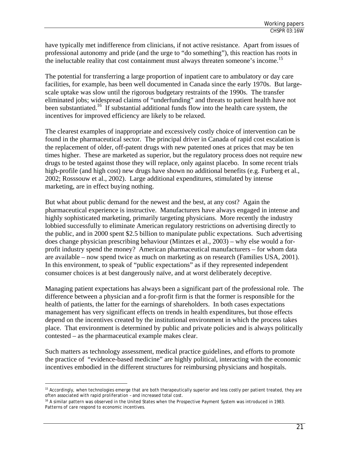have typically met indifference from clinicians, if not active resistance. Apart from issues of professional autonomy and pride (and the urge to "do something"), this reaction has roots in the ineluctable reality that cost containment must always threaten someone's income.<sup>15</sup>

The potential for transferring a large proportion of inpatient care to ambulatory or day care facilities, for example, has been well documented in Canada since the early 1970s. But largescale uptake was slow until the rigorous budgetary restraints of the 1990s. The transfer eliminated jobs; widespread claims of "underfunding" and threats to patient health have not been substantiated.<sup>16</sup> If substantial additional funds flow into the health care system, the incentives for improved efficiency are likely to be relaxed.

The clearest examples of inappropriate and excessively costly choice of intervention can be found in the pharmaceutical sector. The principal driver in Canada of rapid cost escalation is the replacement of older, off-patent drugs with new patented ones at prices that may be ten times higher. These are marketed as superior, but the regulatory process does not require new drugs to be tested against those they will replace, only against placebo. In some recent trials high-profile (and high cost) new drugs have shown no additional benefits (e.g. Furberg et al., 2002; Rosssouw et al., 2002). Large additional expenditures, stimulated by intense marketing, are in effect buying nothing.

But what about public demand for the newest and the best, at any cost? Again the pharmaceutical experience is instructive. Manufacturers have always engaged in intense and highly sophisticated marketing, primarily targeting physicians. More recently the industry lobbied successfully to eliminate American regulatory restrictions on advertising directly to the public, and in 2000 spent \$2.5 billion to manipulate public expectations. Such advertising does change physician prescribing behaviour (Mintzes et al., 2003) – why else would a forprofit industry spend the money? American pharmaceutical manufacturers – for whom data are available – now spend twice as much on marketing as on research (Families USA, 2001). In this environment, to speak of "public expectations" as if they represented independent consumer choices is at best dangerously naïve, and at worst deliberately deceptive.

Managing patient expectations has always been a significant part of the professional role. The difference between a physician and a for-profit firm is that the former is responsible for the health of patients, the latter for the earnings of shareholders. In both cases expectations management has very significant effects on trends in health expenditures, but those effects depend on the incentives created by the institutional environment in which the process takes place. That environment is determined by public and private policies and is always politically contested – as the pharmaceutical example makes clear.

Such matters as technology assessment, medical practice guidelines, and efforts to promote the practice of "evidence-based medicine" are highly political, interacting with the economic incentives embodied in the different structures for reimbursing physicians and hospitals.

 $15$  Accordingly, when technologies emerge that are both therapeutically superior and less costly per patient treated, they are often associated with rapid proliferation - and increased total cost.

 $16$  A similar pattern was observed in the United States when the Prospective Payment System was introduced in 1983. Patterns of care respond to economic incentives.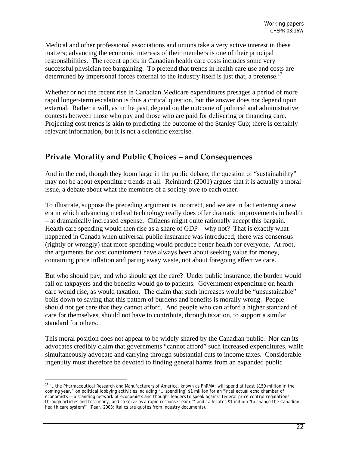Medical and other professional associations and unions take a very active interest in these matters; advancing the economic interests of their members is one of their principal responsibilities. The recent uptick in Canadian health care costs includes some very successful physician fee bargaining. To pretend that trends in health care use and costs are determined by impersonal forces external to the industry itself is just that, a pretense.<sup>17</sup>

Whether or not the recent rise in Canadian Medicare expenditures presages a period of more rapid longer-term escalation is thus a critical question, but the answer does not depend upon external. Rather it will, as in the past, depend on the outcome of political and administrative contests between those who pay and those who are paid for delivering or financing care. Projecting cost trends is akin to predicting the outcome of the Stanley Cup; there is certainly relevant information, but it is not a scientific exercise.

#### **Private Morality and Public Choices – and Consequences**

And in the end, though they loom large in the public debate, the question of "sustainability" may not be about expenditure trends at all. Reinhardt (2001) argues that it is actually a moral issue, a debate about what the members of a society owe to each other.

To illustrate, suppose the preceding argument is incorrect, and we are in fact entering a new era in which advancing medical technology really does offer dramatic improvements in health – at dramatically increased expense. Citizens might quite rationally accept this bargain. Health care spending would then rise as a share of  $GDP - why$  not? That is exactly what happened in Canada when universal public insurance was introduced; there was consensus (rightly or wrongly) that more spending would produce better health for everyone. At root, the arguments for cost containment have always been about seeking value for money, containing price inflation and paring away waste, not about foregoing effective care.

But who should pay, and who should get the care? Under public insurance, the burden would fall on taxpayers and the benefits would go to patients. Government expenditure on health care would rise, as would taxation. The claim that such increases would be "unsustainable" boils down to saying that this pattern of burdens and benefits is morally wrong. People should not get care that they cannot afford. And people who can afford a higher standard of care for themselves, should not have to contribute, through taxation, to support a similar standard for others.

This moral position does not appear to be widely shared by the Canadian public. Nor can its advocates credibly claim that governments "cannot afford" such increased expenditures, while simultaneously advocate and carrying through substantial cuts to income taxes. Considerable ingenuity must therefore be devoted to finding general harms from an expanded public

<sup>17 &</sup>quot;...the Pharmaceutical Research and Manufacturers of America, known as PhRMA, will spend at least \$150 million in the coming year." on political lobbying activities including "… spend[ing] \$1 million for an "*intellectual echo chamber of economists — a standing network of economists and thought leaders to speak against federal price control regulations through articles and testimony, and to serve as a rapid response team*."" and "allocates \$1 million "*to change the Canadian health care system*"" (Pear, 2003; italics are quotes from industry documents).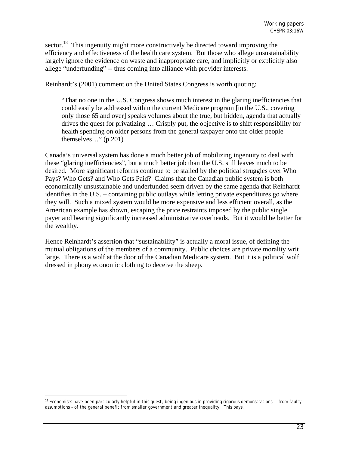sector.<sup>18</sup> This ingenuity might more constructively be directed toward improving the efficiency and effectiveness of the health care system. But those who allege unsustainability largely ignore the evidence on waste and inappropriate care, and implicitly or explicitly also allege "underfunding" -- thus coming into alliance with provider interests.

Reinhardt's (2001) comment on the United States Congress is worth quoting:

"That no one in the U.S. Congress shows much interest in the glaring inefficiencies that could easily be addressed within the current Medicare program [in the U.S., covering only those 65 and over] speaks volumes about the true, but hidden, agenda that actually drives the quest for privatizing … Crisply put, the objective is to shift responsibility for health spending on older persons from the general taxpayer onto the older people themselves…" (p.201)

Canada's universal system has done a much better job of mobilizing ingenuity to deal with these "glaring inefficiencies", but a much better job than the U.S. still leaves much to be desired. More significant reforms continue to be stalled by the political struggles over Who Pays? Who Gets? and Who Gets Paid? Claims that the Canadian public system is both economically unsustainable and underfunded seem driven by the same agenda that Reinhardt identifies in the U.S. – containing public outlays while letting private expenditures go where they will. Such a mixed system would be more expensive and less efficient overall, as the American example has shown, escaping the price restraints imposed by the public single payer and bearing significantly increased administrative overheads. But it would be better for the wealthy.

Hence Reinhardt's assertion that "sustainability" is actually a moral issue, of defining the mutual obligations of the members of a community. Public choices are private morality writ large. There *is* a wolf at the door of the Canadian Medicare system. But it is a political wolf dressed in phony economic clothing to deceive the sheep.

<sup>&</sup>lt;sup>18</sup> Economists have been particularly helpful in this quest, being ingenious in providing rigorous demonstrations -- from faulty assumptions – of the general benefit from smaller government and greater inequality. This pays.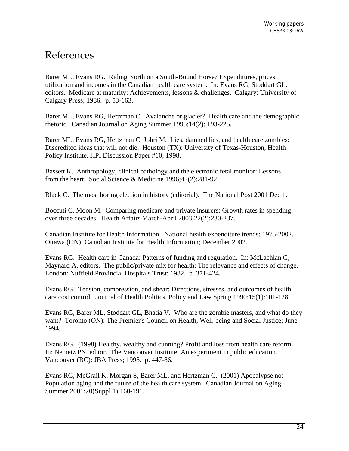### References

Barer ML, Evans RG. Riding North on a South-Bound Horse? Expenditures, prices, utilization and incomes in the Canadian health care system. In: Evans RG, Stoddart GL, editors. Medicare at maturity: Achievements, lessons & challenges. Calgary: University of Calgary Press; 1986. p. 53-163.

Barer ML, Evans RG, Hertzman C. Avalanche or glacier? Health care and the demographic rhetoric. Canadian Journal on Aging Summer 1995;14(2): 193-225.

Barer ML, Evans RG, Hertzman C, Johri M. Lies, damned lies, and health care zombies: Discredited ideas that will not die. Houston (TX): University of Texas-Houston, Health Policy Institute, HPI Discussion Paper #10; 1998.

Bassett K. Anthropology, clinical pathology and the electronic fetal monitor: Lessons from the heart. Social Science & Medicine 1996;42(2):281-92.

Black C. The most boring election in history (editorial). The National Post 2001 Dec 1.

Boccuti C, Moon M. Comparing medicare and private insurers: Growth rates in spending over three decades. Health Affairs March-April 2003;22(2):230-237.

Canadian Institute for Health Information. National health expenditure trends: 1975-2002. Ottawa (ON): Canadian Institute for Health Information; December 2002.

Evans RG. Health care in Canada: Patterns of funding and regulation. In: McLachlan G, Maynard A, editors. The public/private mix for health: The relevance and effects of change. London: Nuffield Provincial Hospitals Trust; 1982. p. 371-424.

Evans RG. Tension, compression, and shear: Directions, stresses, and outcomes of health care cost control. Journal of Health Politics, Policy and Law Spring 1990;15(1):101-128.

Evans RG, Barer ML, Stoddart GL, Bhatia V. Who are the zombie masters, and what do they want? Toronto (ON): The Premier's Council on Health, Well-being and Social Justice; June 1994.

Evans RG. (1998) Healthy, wealthy and cunning? Profit and loss from health care reform. In: Nemetz PN, editor. The Vancouver Institute: An experiment in public education. Vancouver (BC): JBA Press; 1998. p. 447-86.

Evans RG, McGrail K, Morgan S, Barer ML, and Hertzman C. (2001) Apocalypse no: Population aging and the future of the health care system. Canadian Journal on Aging Summer 2001:20(Suppl 1):160-191.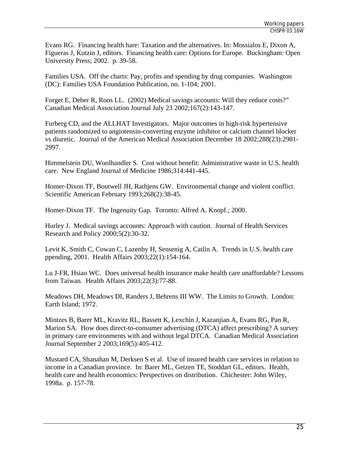Evans RG. Financing health hare: Taxation and the alternatives. In: Mossialos E, Dixon A, Figueras J, Kutzin J, editors. Financing health care: Options for Europe. Buckingham: Open University Press; 2002. p. 39-58.

Families USA. Off the charts: Pay, profits and spending by drug companies. Washington (DC): Families USA Foundation Publication, no. 1-104; 2001.

Forget E, Deber R, Roos LL. (2002) Medical savings accounts: Will they reduce costs?" Canadian Medical Association Journal July 23 2002;167(2):143-147.

Furberg CD, and the ALLHAT Investigators. Major outcomes in high-risk hypertensive patients randomized to angiotensin-converting enzyme inhibitor or calcium channel blocker vs diuretic. Journal of the American Medical Association December 18 2002;288(23):2981- 2997.

Himmelstein DU, Woolhandler S. Cost without benefit: Administrative waste in U.S. health care. New England Journal of Medicine 1986;314:441-445.

Homer-Dixon TF, Boutwell JH, Rathjens GW. Environmental change and violent conflict. Scientific American February 1993;268(2):38-45.

Homer-Dixon TF. The Ingenuity Gap. Toronto: Alfred A. Knopf.; 2000.

Hurley J. Medical savings accounts: Approach with caution. Journal of Health Services Research and Policy 2000;5(2):30-32.

Levit K, Smith C, Cowan C, Lazenby H, Sensenig A, Catlin A. Trends in U.S. health care ppending, 2001. Health Affairs 2003;22(1):154-164.

Lu J-FR, Hsiao WC. Does universal health insurance make health care unaffordable? Lessons from Taiwan. Health Affairs 2003;22(3):77-88.

Meadows DH, Meadows DI, Randers J, Behrens III WW. The Limits to Growth. London: Earth Island; 1972.

Mintzes B, Barer ML, Kravitz RL, Bassett K, Lexchin J, Kazanjian A, Evans RG, Pan R, Marion SA. How does direct-to-consumer advertising (DTCA) affect prescribing? A survey in primary care environments with and without legal DTCA. Canadian Medical Association Journal September 2 2003;169(5):405-412.

Mustard CA, Shanahan M, Derksen S et al. Use of insured health care services in relation to income in a Canadian province. In: Barer ML, Getzen TE, Stoddart GL, editors. Health, health care and health economics: Perspectives on distribution. Chichester: John Wiley, 1998a. p. 157-78.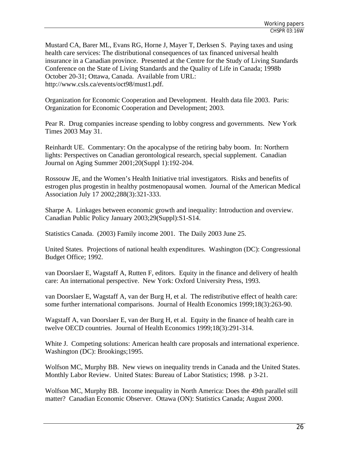Mustard CA, Barer ML, Evans RG, Horne J, Mayer T, Derksen S. Paying taxes and using health care services: The distributional consequences of tax financed universal health insurance in a Canadian province. Presented at the Centre for the Study of Living Standards Conference on the State of Living Standards and the Quality of Life in Canada; 1998b October 20-31; Ottawa, Canada. Available from URL: http://www.csls.ca/events/oct98/must1.pdf.

Organization for Economic Cooperation and Development. Health data file 2003. Paris: Organization for Economic Cooperation and Development; 2003.

Pear R. Drug companies increase spending to lobby congress and governments. New York Times 2003 May 31.

Reinhardt UE. Commentary: On the apocalypse of the retiring baby boom. In: Northern lights: Perspectives on Canadian gerontological research, special supplement. Canadian Journal on Aging Summer 2001;20(Suppl 1):192-204.

Rossouw JE, and the Women's Health Initiative trial investigators. Risks and benefits of estrogen plus progestin in healthy postmenopausal women. Journal of the American Medical Association July 17 2002;288(3):321-333.

Sharpe A. Linkages between economic growth and inequality: Introduction and overview. Canadian Public Policy January 2003;29(Suppl):S1-S14.

Statistics Canada. (2003) Family income 2001. The Daily 2003 June 25.

United States. Projections of national health expenditures. Washington (DC): Congressional Budget Office; 1992.

van Doorslaer E, Wagstaff A, Rutten F, editors. Equity in the finance and delivery of health care: An international perspective. New York: Oxford University Press, 1993.

van Doorslaer E, Wagstaff A, van der Burg H, et al. The redistributive effect of health care: some further international comparisons. Journal of Health Economics 1999;18(3):263-90.

Wagstaff A, van Doorslaer E, van der Burg H, et al. Equity in the finance of health care in twelve OECD countries. Journal of Health Economics 1999;18(3):291-314.

White J. Competing solutions: American health care proposals and international experience. Washington (DC): Brookings;1995.

Wolfson MC, Murphy BB. New views on inequality trends in Canada and the United States. Monthly Labor Review. United States: Bureau of Labor Statistics; 1998. p 3-21.

Wolfson MC, Murphy BB. Income inequality in North America: Does the 49th parallel still matter? Canadian Economic Observer. Ottawa (ON): Statistics Canada; August 2000.